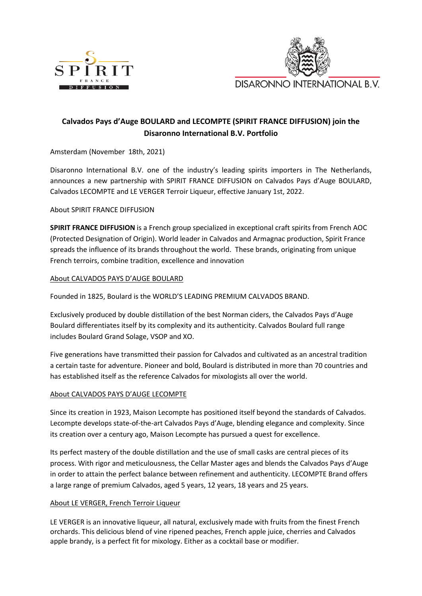



# **Calvados Pays d'Auge BOULARD and LECOMPTE (SPIRIT FRANCE DIFFUSION) join the Disaronno International B.V. Portfolio**

Amsterdam (November 18th, 2021)

Disaronno International B.V. one of the industry's leading spirits importers in The Netherlands, announces a new partnership with SPIRIT FRANCE DIFFUSION on Calvados Pays d'Auge BOULARD, Calvados LECOMPTE and LE VERGER Terroir Liqueur, effective January 1st, 2022.

About SPIRIT FRANCE DIFFUSION

**SPIRIT FRANCE DIFFUSION** is a French group specialized in exceptional craft spirits from French AOC (Protected Designation of Origin). World leader in Calvados and Armagnac production, Spirit France spreads the influence of its brands throughout the world. These brands, originating from unique French terroirs, combine tradition, excellence and innovation

## About CALVADOS PAYS D'AUGE BOULARD

Founded in 1825, Boulard is the WORLD'S LEADING PREMIUM CALVADOS BRAND.

Exclusively produced by double distillation of the best Norman ciders, the Calvados Pays d'Auge Boulard differentiates itself by its complexity and its authenticity. Calvados Boulard full range includes Boulard Grand Solage, VSOP and XO.

Five generations have transmitted their passion for Calvados and cultivated as an ancestral tradition a certain taste for adventure. Pioneer and bold, Boulard is distributed in more than 70 countries and has established itself as the reference Calvados for mixologists all over the world.

## About CALVADOS PAYS D'AUGE LECOMPTE

Since its creation in 1923, Maison Lecompte has positioned itself beyond the standards of Calvados. Lecompte develops state-of-the-art Calvados Pays d'Auge, blending elegance and complexity. Since its creation over a century ago, Maison Lecompte has pursued a quest for excellence.

Its perfect mastery of the double distillation and the use of small casks are central pieces of its process. With rigor and meticulousness, the Cellar Master ages and blends the Calvados Pays d'Auge in order to attain the perfect balance between refinement and authenticity. LECOMPTE Brand offers a large range of premium Calvados, aged 5 years, 12 years, 18 years and 25 years.

## About LE VERGER, French Terroir Liqueur

LE VERGER is an innovative liqueur, all natural, exclusively made with fruits from the finest French orchards. This delicious blend of vine ripened peaches, French apple juice, cherries and Calvados apple brandy, is a perfect fit for mixology. Either as a cocktail base or modifier.